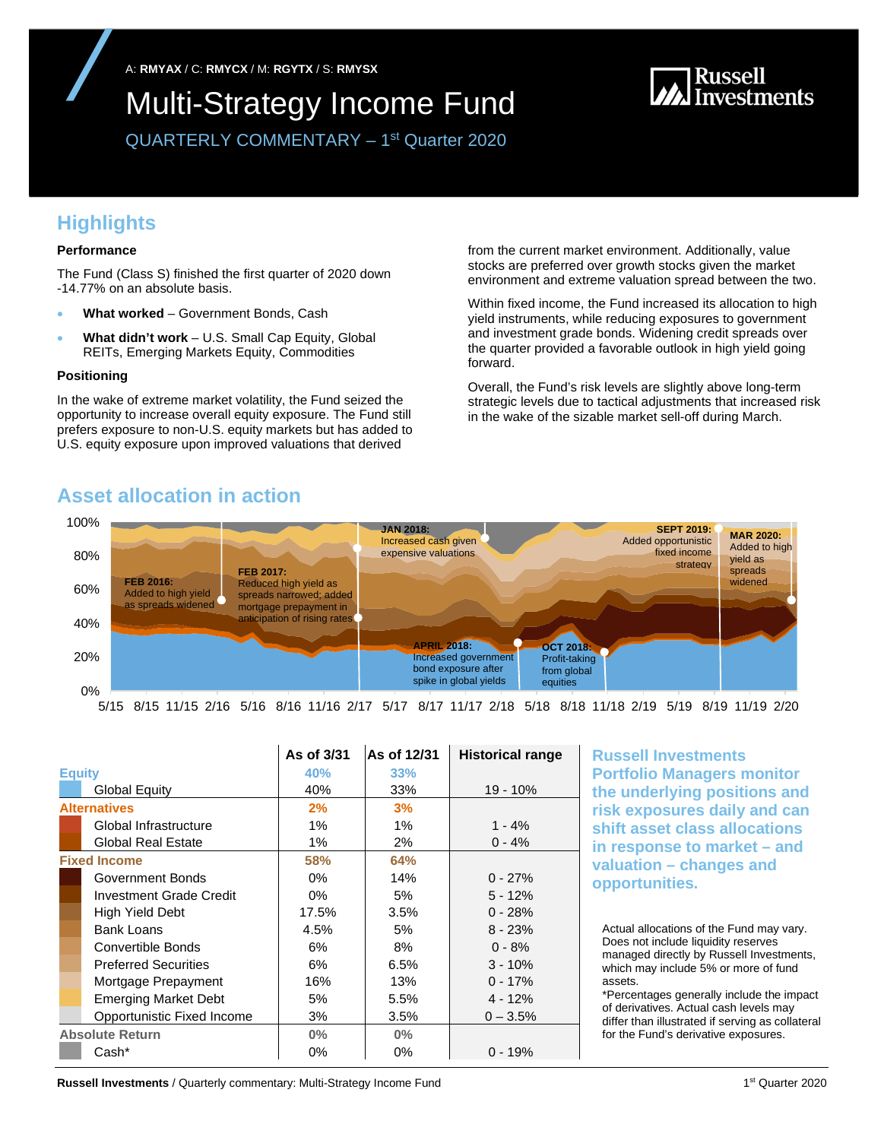A: **RMYAX** / C: **RMYCX** / M: **RGYTX** / S: **RMYSX** 

## Multi-Strategy Income Fund

# **M**<br>Munical Investments

QUARTERLY COMMENTARY – 1st Quarter 2020

## **Highlights**

#### **Performance**

The Fund (Class S) finished the first quarter of 2020 down -14.77% on an absolute basis.

- **What worked** Government Bonds, Cash
- **What didn't work** U.S. Small Cap Equity, Global REITs, Emerging Markets Equity, Commodities

#### **Positioning**

In the wake of extreme market volatility, the Fund seized the opportunity to increase overall equity exposure. The Fund still prefers exposure to non-U.S. equity markets but has added to U.S. equity exposure upon improved valuations that derived

from the current market environment. Additionally, value stocks are preferred over growth stocks given the market environment and extreme valuation spread between the two.

Within fixed income, the Fund increased its allocation to high yield instruments, while reducing exposures to government and investment grade bonds. Widening credit spreads over the quarter provided a favorable outlook in high yield going forward.

Overall, the Fund's risk levels are slightly above long-term strategic levels due to tactical adjustments that increased risk in the wake of the sizable market sell-off during March.

## **Asset allocation in action**



5/15 8/15 11/15 2/16 5/16 8/16 11/16 2/17 5/17 8/17 11/17 2/18 5/18 8/18 11/18 2/19 5/19 8/19 11/19 2/20

|                        |                             | As of 3/31 | As of 12/31 | <b>Historical range</b> |
|------------------------|-----------------------------|------------|-------------|-------------------------|
| <b>Equity</b>          |                             | 40%        | 33%         |                         |
|                        | <b>Global Equity</b>        | 40%        | 33%         | 19 - 10%                |
| <b>Alternatives</b>    |                             | 2%         | 3%          |                         |
|                        | Global Infrastructure       | $1\%$      | $1\%$       | $1 - 4%$                |
|                        | <b>Global Real Estate</b>   | 1%         | 2%          | $0 - 4%$                |
|                        | <b>Fixed Income</b>         | <b>58%</b> | 64%         |                         |
|                        | Government Bonds            | $0\%$      | 14%         | $0 - 27%$               |
|                        | Investment Grade Credit     | $0\%$      | 5%          | $5 - 12%$               |
|                        | High Yield Debt             | 17.5%      | 3.5%        | $0 - 28%$               |
|                        | <b>Bank Loans</b>           | 4.5%       | 5%          | $8 - 23%$               |
|                        | Convertible Bonds           | 6%         | 8%          | $0 - 8%$                |
|                        | <b>Preferred Securities</b> | 6%         | 6.5%        | $3 - 10%$               |
|                        | Mortgage Prepayment         | 16%        | 13%         | $0 - 17%$               |
|                        | <b>Emerging Market Debt</b> | 5%         | 5.5%        | $4 - 12%$               |
|                        | Opportunistic Fixed Income  | 3%         | 3.5%        | $0 - 3.5%$              |
| <b>Absolute Return</b> |                             | $0\%$      | $0\%$       |                         |
|                        | Cash*                       | 0%         | $0\%$       | $0 - 19%$               |

**Russell Investments Portfolio Managers monitor the underlying positions and risk exposures daily and can shift asset class allocations in response to market – and valuation – changes and opportunities.**

Actual allocations of the Fund may vary. Does not include liquidity reserves managed directly by Russell Investments, which may include 5% or more of fund assets.

\*Percentages generally include the impact of derivatives. Actual cash levels may differ than illustrated if serving as collateral for the Fund's derivative exposures.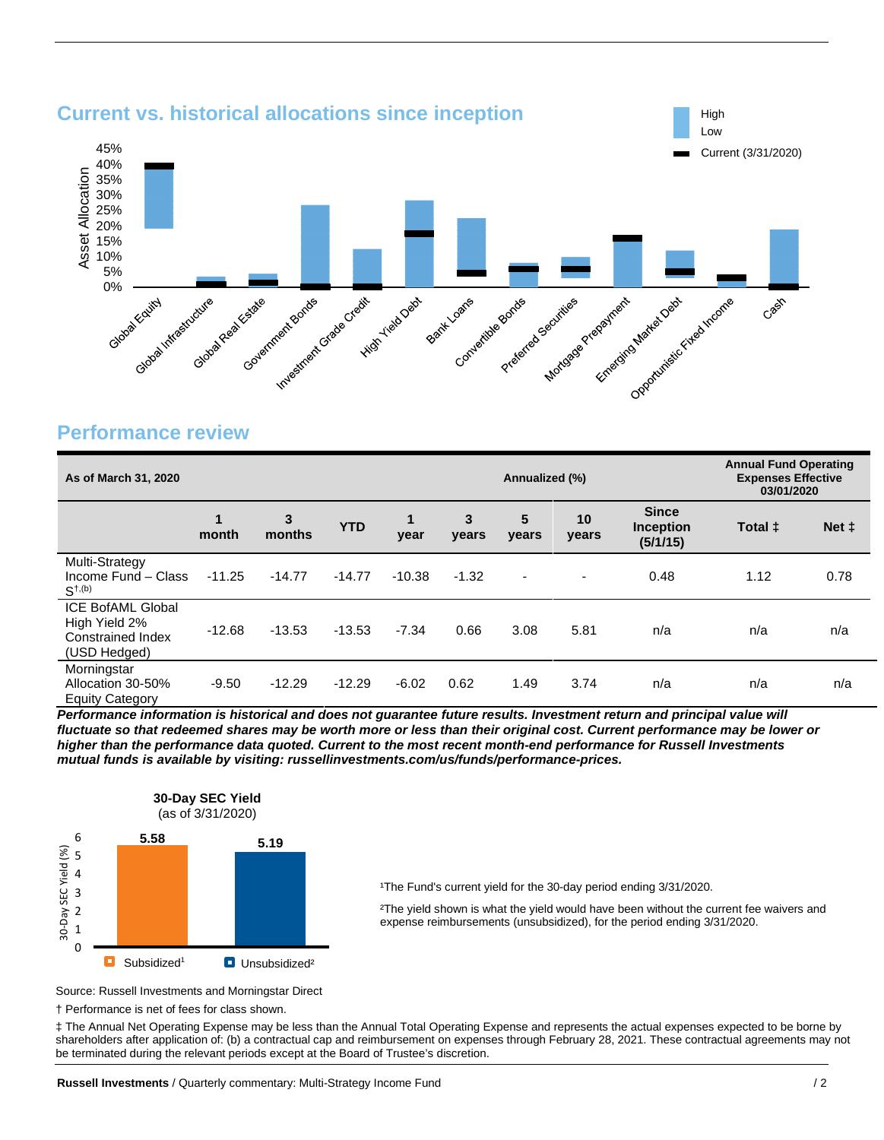

## **Performance review**

| As of March 31, 2020                                                           |          |             |            |           | Annualized (%) |                          |                          | <b>Annual Fund Operating</b><br><b>Expenses Effective</b><br>03/01/2020 |         |       |
|--------------------------------------------------------------------------------|----------|-------------|------------|-----------|----------------|--------------------------|--------------------------|-------------------------------------------------------------------------|---------|-------|
|                                                                                | month    | 3<br>months | <b>YTD</b> | 1<br>year | 3<br>vears     | 5<br>years               | 10<br>years              | <b>Since</b><br><b>Inception</b><br>(5/1/15)                            | Total ± | Net ‡ |
| Multi-Strategy<br>Income Fund - Class<br>$S^{+, (b)}$                          | $-11.25$ | $-14.77$    | $-14.77$   | $-10.38$  | $-1.32$        | $\overline{\phantom{a}}$ | $\overline{\phantom{a}}$ | 0.48                                                                    | 1.12    | 0.78  |
| <b>ICE BofAML Global</b><br>High Yield 2%<br>Constrained Index<br>(USD Hedged) | $-12.68$ | $-13.53$    | $-13.53$   | $-7.34$   | 0.66           | 3.08                     | 5.81                     | n/a                                                                     | n/a     | n/a   |
| Morningstar<br>Allocation 30-50%<br><b>Equity Category</b>                     | $-9.50$  | $-12.29$    | $-12.29$   | $-6.02$   | 0.62           | 1.49                     | 3.74                     | n/a                                                                     | n/a     | n/a   |

*Performance information is historical and does not guarantee future results. Investment return and principal value will fluctuate so that redeemed shares may be worth more or less than their original cost. Current performance may be lower or higher than the performance data quoted. Current to the most recent month-end performance for Russell Investments mutual funds is available by visiting: russellinvestments.com/us/funds/performance-prices.* 



<sup>1</sup>The Fund's current yield for the 30-day period ending 3/31/2020.

²The yield shown is what the yield would have been without the current fee waivers and expense reimbursements (unsubsidized), for the period ending 3/31/2020.

Source: Russell Investments and Morningstar Direct

† Performance is net of fees for class shown.

‡ The Annual Net Operating Expense may be less than the Annual Total Operating Expense and represents the actual expenses expected to be borne by shareholders after application of: (b) a contractual cap and reimbursement on expenses through February 28, 2021. These contractual agreements may not be terminated during the relevant periods except at the Board of Trustee's discretion.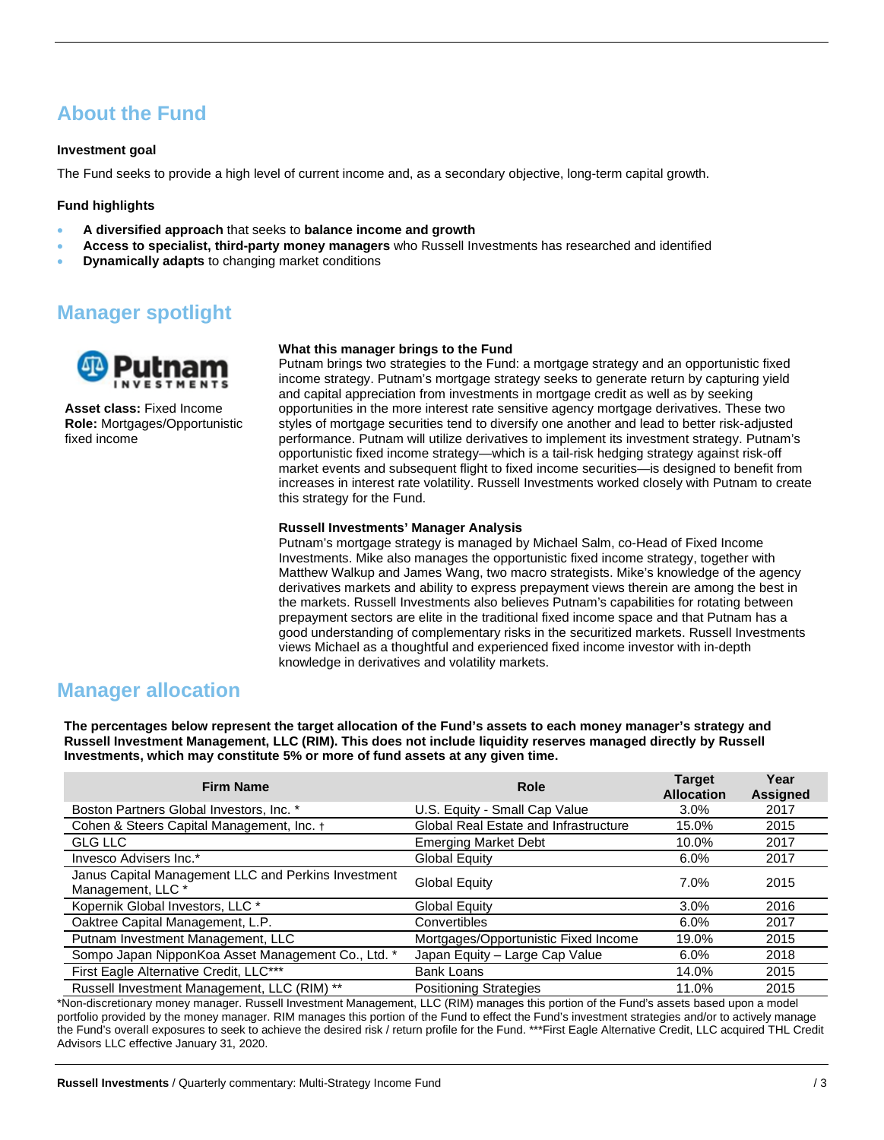## **About the Fund**

#### **Investment goal**

The Fund seeks to provide a high level of current income and, as a secondary objective, long-term capital growth.

#### **Fund highlights**

- **A diversified approach** that seeks to **balance income and growth**
- **Access to specialist, third-party money managers** who Russell Investments has researched and identified
- **Dynamically adapts** to changing market conditions

## **Manager spotlight**



**Asset class:** Fixed Income **Role:** Mortgages/Opportunistic fixed income

#### **What this manager brings to the Fund**

Putnam brings two strategies to the Fund: a mortgage strategy and an opportunistic fixed income strategy. Putnam's mortgage strategy seeks to generate return by capturing yield and capital appreciation from investments in mortgage credit as well as by seeking opportunities in the more interest rate sensitive agency mortgage derivatives. These two styles of mortgage securities tend to diversify one another and lead to better risk-adjusted performance. Putnam will utilize derivatives to implement its investment strategy. Putnam's opportunistic fixed income strategy—which is a tail-risk hedging strategy against risk-off market events and subsequent flight to fixed income securities—is designed to benefit from increases in interest rate volatility. Russell Investments worked closely with Putnam to create this strategy for the Fund.

#### **Russell Investments' Manager Analysis**

Putnam's mortgage strategy is managed by Michael Salm, co-Head of Fixed Income Investments. Mike also manages the opportunistic fixed income strategy, together with Matthew Walkup and James Wang, two macro strategists. Mike's knowledge of the agency derivatives markets and ability to express prepayment views therein are among the best in the markets. Russell Investments also believes Putnam's capabilities for rotating between prepayment sectors are elite in the traditional fixed income space and that Putnam has a good understanding of complementary risks in the securitized markets. Russell Investments views Michael as a thoughtful and experienced fixed income investor with in-depth knowledge in derivatives and volatility markets.

## **Manager allocation**

**The percentages below represent the target allocation of the Fund's assets to each money manager's strategy and Russell Investment Management, LLC (RIM). This does not include liquidity reserves managed directly by Russell Investments, which may constitute 5% or more of fund assets at any given time.**

| <b>Firm Name</b>                                                         | Role                                  | <b>Target</b><br><b>Allocation</b> | Year<br><b>Assigned</b> |
|--------------------------------------------------------------------------|---------------------------------------|------------------------------------|-------------------------|
| Boston Partners Global Investors, Inc. *                                 | U.S. Equity - Small Cap Value         | $3.0\%$                            | 2017                    |
| Cohen & Steers Capital Management, Inc. +                                | Global Real Estate and Infrastructure | 15.0%                              | 2015                    |
| <b>GLG LLC</b>                                                           | <b>Emerging Market Debt</b>           | 10.0%                              | 2017                    |
| Invesco Advisers Inc.*                                                   | <b>Global Equity</b>                  | 6.0%                               | 2017                    |
| Janus Capital Management LLC and Perkins Investment<br>Management, LLC * | <b>Global Equity</b>                  | 7.0%                               | 2015                    |
| Kopernik Global Investors, LLC *                                         | <b>Global Equity</b>                  | 3.0%                               | 2016                    |
| Oaktree Capital Management, L.P.                                         | Convertibles                          | $6.0\%$                            | 2017                    |
| Putnam Investment Management, LLC                                        | Mortgages/Opportunistic Fixed Income  | 19.0%                              | 2015                    |
| Sompo Japan NipponKoa Asset Management Co., Ltd. *                       | Japan Equity - Large Cap Value        | $6.0\%$                            | 2018                    |
| First Eagle Alternative Credit, LLC***                                   | <b>Bank Loans</b>                     | 14.0%                              | 2015                    |
| Russell Investment Management, LLC (RIM) **                              | <b>Positioning Strategies</b>         | 11.0%                              | 2015                    |

\*Non-discretionary money manager. Russell Investment Management, LLC (RIM) manages this portion of the Fund's assets based upon a model portfolio provided by the money manager. RIM manages this portion of the Fund to effect the Fund's investment strategies and/or to actively manage the Fund's overall exposures to seek to achieve the desired risk / return profile for the Fund. \*\*\*First Eagle Alternative Credit, LLC acquired THL Credit Advisors LLC effective January 31, 2020.